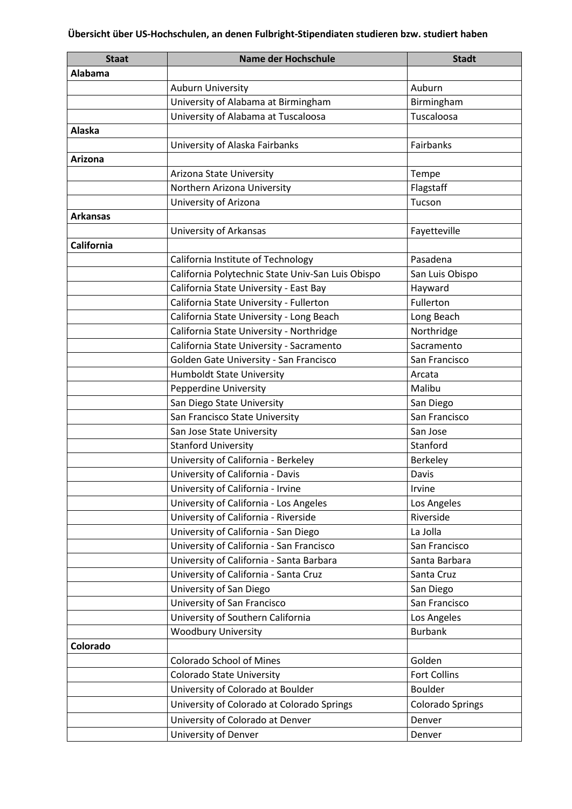| <b>Staat</b>      | Name der Hochschule                               | <b>Stadt</b>            |
|-------------------|---------------------------------------------------|-------------------------|
| Alabama           |                                                   |                         |
|                   | <b>Auburn University</b>                          | Auburn                  |
|                   | University of Alabama at Birmingham               | Birmingham              |
|                   | University of Alabama at Tuscaloosa               | Tuscaloosa              |
| <b>Alaska</b>     |                                                   |                         |
|                   | University of Alaska Fairbanks                    | Fairbanks               |
| Arizona           |                                                   |                         |
|                   | Arizona State University                          | Tempe                   |
|                   | Northern Arizona University                       | Flagstaff               |
|                   | University of Arizona                             | Tucson                  |
| <b>Arkansas</b>   |                                                   |                         |
|                   | University of Arkansas                            | Fayetteville            |
| <b>California</b> |                                                   |                         |
|                   | California Institute of Technology                | Pasadena                |
|                   | California Polytechnic State Univ-San Luis Obispo | San Luis Obispo         |
|                   | California State University - East Bay            | Hayward                 |
|                   | California State University - Fullerton           | Fullerton               |
|                   | California State University - Long Beach          | Long Beach              |
|                   | California State University - Northridge          | Northridge              |
|                   | California State University - Sacramento          | Sacramento              |
|                   | Golden Gate University - San Francisco            | San Francisco           |
|                   | <b>Humboldt State University</b>                  | Arcata                  |
|                   | Pepperdine University                             | Malibu                  |
|                   | San Diego State University                        | San Diego               |
|                   | San Francisco State University                    | San Francisco           |
|                   | San Jose State University                         | San Jose                |
|                   | <b>Stanford University</b>                        | Stanford                |
|                   | University of California - Berkeley               | Berkeley                |
|                   | University of California - Davis                  | Davis                   |
|                   | University of California - Irvine                 | Irvine                  |
|                   | University of California - Los Angeles            | Los Angeles             |
|                   | University of California - Riverside              | Riverside               |
|                   | University of California - San Diego              | La Jolla                |
|                   | University of California - San Francisco          | San Francisco           |
|                   | University of California - Santa Barbara          | Santa Barbara           |
|                   | University of California - Santa Cruz             | Santa Cruz              |
|                   | University of San Diego                           | San Diego               |
|                   | University of San Francisco                       | San Francisco           |
|                   | University of Southern California                 | Los Angeles             |
|                   | <b>Woodbury University</b>                        | <b>Burbank</b>          |
| Colorado          |                                                   |                         |
|                   | <b>Colorado School of Mines</b>                   | Golden                  |
|                   | Colorado State University                         | <b>Fort Collins</b>     |
|                   | University of Colorado at Boulder                 | <b>Boulder</b>          |
|                   | University of Colorado at Colorado Springs        | <b>Colorado Springs</b> |
|                   | University of Colorado at Denver                  | Denver                  |
|                   | University of Denver                              | Denver                  |
|                   |                                                   |                         |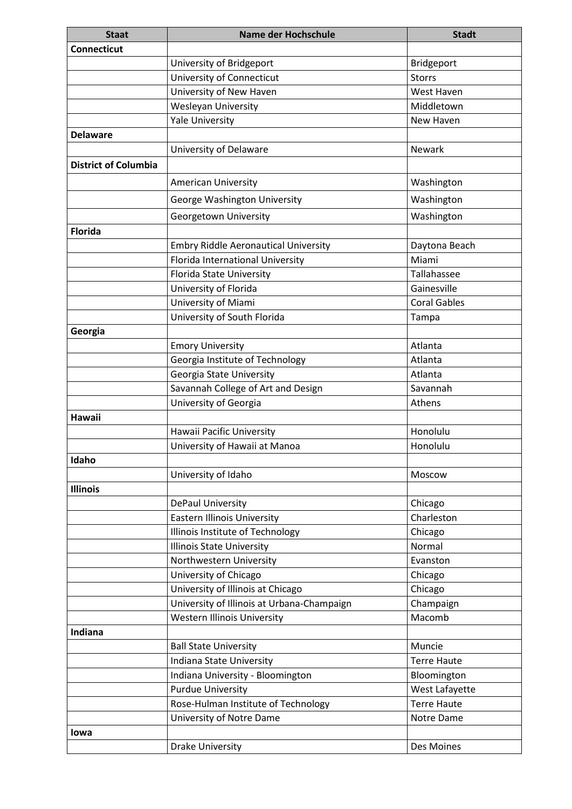| <b>Staat</b>                | Name der Hochschule                         | <b>Stadt</b>        |
|-----------------------------|---------------------------------------------|---------------------|
| <b>Connecticut</b>          |                                             |                     |
|                             | University of Bridgeport                    | Bridgeport          |
|                             | University of Connecticut                   | <b>Storrs</b>       |
|                             | University of New Haven                     | West Haven          |
|                             | <b>Wesleyan University</b>                  | Middletown          |
|                             | <b>Yale University</b>                      | New Haven           |
| <b>Delaware</b>             |                                             |                     |
|                             | University of Delaware                      | Newark              |
| <b>District of Columbia</b> |                                             |                     |
|                             | <b>American University</b>                  | Washington          |
|                             | George Washington University                | Washington          |
|                             | Georgetown University                       | Washington          |
| <b>Florida</b>              |                                             |                     |
|                             | <b>Embry Riddle Aeronautical University</b> | Daytona Beach       |
|                             | Florida International University            | Miami               |
|                             | Florida State University                    | Tallahassee         |
|                             | University of Florida                       | Gainesville         |
|                             | University of Miami                         | <b>Coral Gables</b> |
|                             | University of South Florida                 | Tampa               |
| Georgia                     |                                             |                     |
|                             | <b>Emory University</b>                     | Atlanta             |
|                             | Georgia Institute of Technology             | Atlanta             |
|                             | Georgia State University                    | Atlanta             |
|                             | Savannah College of Art and Design          | Savannah            |
|                             | University of Georgia                       | Athens              |
| Hawaii                      |                                             |                     |
|                             | Hawaii Pacific University                   | Honolulu            |
|                             | University of Hawaii at Manoa               | Honolulu            |
| Idaho                       |                                             |                     |
|                             | University of Idaho                         | Moscow              |
| <b>Illinois</b>             |                                             |                     |
|                             | DePaul University                           | Chicago             |
|                             | <b>Eastern Illinois University</b>          | Charleston          |
|                             | Illinois Institute of Technology            | Chicago             |
|                             | <b>Illinois State University</b>            | Normal              |
|                             | Northwestern University                     | Evanston            |
|                             | University of Chicago                       | Chicago             |
|                             | University of Illinois at Chicago           | Chicago             |
|                             | University of Illinois at Urbana-Champaign  | Champaign           |
|                             | <b>Western Illinois University</b>          | Macomb              |
| Indiana                     |                                             |                     |
|                             | <b>Ball State University</b>                | Muncie              |
|                             | Indiana State University                    | <b>Terre Haute</b>  |
|                             | Indiana University - Bloomington            | Bloomington         |
|                             | <b>Purdue University</b>                    | West Lafayette      |
|                             | Rose-Hulman Institute of Technology         | <b>Terre Haute</b>  |
|                             | University of Notre Dame                    | Notre Dame          |
| lowa                        |                                             |                     |
|                             | <b>Drake University</b>                     | Des Moines          |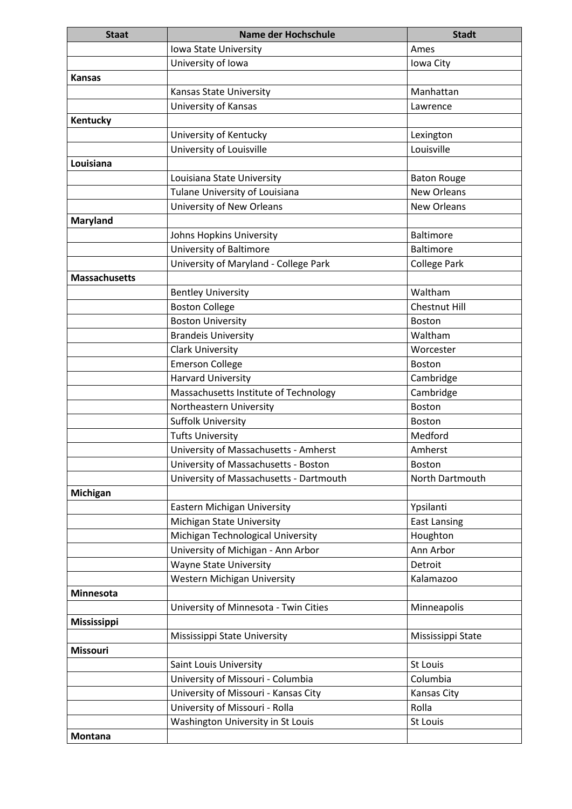| <b>Staat</b>         | Name der Hochschule                     | <b>Stadt</b>         |
|----------------------|-----------------------------------------|----------------------|
|                      | Iowa State University                   | Ames                 |
|                      | University of Iowa                      | Iowa City            |
| <b>Kansas</b>        |                                         |                      |
|                      | <b>Kansas State University</b>          | Manhattan            |
|                      | University of Kansas                    | Lawrence             |
| Kentucky             |                                         |                      |
|                      | University of Kentucky                  | Lexington            |
|                      | University of Louisville                | Louisville           |
| Louisiana            |                                         |                      |
|                      | Louisiana State University              | <b>Baton Rouge</b>   |
|                      | Tulane University of Louisiana          | <b>New Orleans</b>   |
|                      | University of New Orleans               | <b>New Orleans</b>   |
| <b>Maryland</b>      |                                         |                      |
|                      | Johns Hopkins University                | <b>Baltimore</b>     |
|                      | University of Baltimore                 | <b>Baltimore</b>     |
|                      | University of Maryland - College Park   | <b>College Park</b>  |
| <b>Massachusetts</b> |                                         |                      |
|                      | <b>Bentley University</b>               | Waltham              |
|                      | <b>Boston College</b>                   | <b>Chestnut Hill</b> |
|                      | <b>Boston University</b>                | <b>Boston</b>        |
|                      | <b>Brandeis University</b>              | Waltham              |
|                      | <b>Clark University</b>                 | Worcester            |
|                      | <b>Emerson College</b>                  | <b>Boston</b>        |
|                      | <b>Harvard University</b>               | Cambridge            |
|                      | Massachusetts Institute of Technology   | Cambridge            |
|                      | Northeastern University                 | <b>Boston</b>        |
|                      | <b>Suffolk University</b>               | <b>Boston</b>        |
|                      | <b>Tufts University</b>                 | Medford              |
|                      | University of Massachusetts - Amherst   | Amherst              |
|                      | University of Massachusetts - Boston    | <b>Boston</b>        |
|                      | University of Massachusetts - Dartmouth | North Dartmouth      |
| Michigan             |                                         |                      |
|                      | Eastern Michigan University             | Ypsilanti            |
|                      | Michigan State University               | <b>East Lansing</b>  |
|                      | Michigan Technological University       | Houghton             |
|                      | University of Michigan - Ann Arbor      | Ann Arbor            |
|                      | <b>Wayne State University</b>           | Detroit              |
|                      | Western Michigan University             | Kalamazoo            |
| <b>Minnesota</b>     |                                         |                      |
|                      | University of Minnesota - Twin Cities   | Minneapolis          |
| <b>Mississippi</b>   |                                         |                      |
|                      | Mississippi State University            | Mississippi State    |
| <b>Missouri</b>      |                                         |                      |
|                      | Saint Louis University                  | St Louis             |
|                      | University of Missouri - Columbia       | Columbia             |
|                      | University of Missouri - Kansas City    | Kansas City          |
|                      | University of Missouri - Rolla          | Rolla                |
|                      | Washington University in St Louis       | St Louis             |
| <b>Montana</b>       |                                         |                      |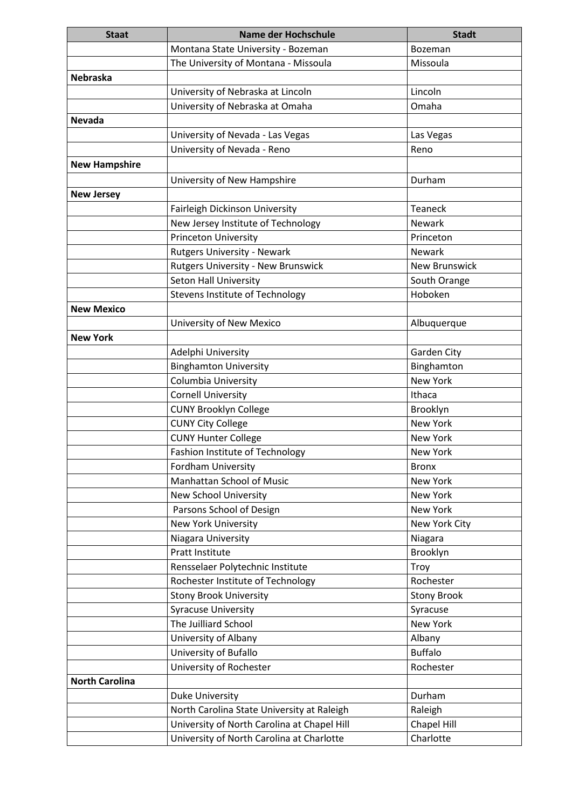| <b>Staat</b>          | <b>Name der Hochschule</b>                                           | <b>Stadt</b>                  |
|-----------------------|----------------------------------------------------------------------|-------------------------------|
|                       | Montana State University - Bozeman                                   | Bozeman                       |
|                       | The University of Montana - Missoula                                 | Missoula                      |
| <b>Nebraska</b>       |                                                                      |                               |
|                       | University of Nebraska at Lincoln                                    | Lincoln                       |
|                       | University of Nebraska at Omaha                                      | Omaha                         |
| <b>Nevada</b>         |                                                                      |                               |
|                       | University of Nevada - Las Vegas                                     | Las Vegas                     |
|                       | University of Nevada - Reno                                          | Reno                          |
| <b>New Hampshire</b>  |                                                                      |                               |
|                       | University of New Hampshire                                          | Durham                        |
| <b>New Jersey</b>     |                                                                      |                               |
|                       | Fairleigh Dickinson University                                       | <b>Teaneck</b>                |
|                       | New Jersey Institute of Technology                                   | <b>Newark</b>                 |
|                       | Princeton University                                                 | Princeton                     |
|                       | <b>Rutgers University - Newark</b>                                   | <b>Newark</b>                 |
|                       | Rutgers University - New Brunswick                                   | <b>New Brunswick</b>          |
|                       | <b>Seton Hall University</b>                                         | South Orange                  |
|                       | <b>Stevens Institute of Technology</b>                               | Hoboken                       |
| <b>New Mexico</b>     |                                                                      |                               |
|                       | University of New Mexico                                             | Albuquerque                   |
| <b>New York</b>       |                                                                      |                               |
|                       | Adelphi University                                                   | Garden City                   |
|                       | <b>Binghamton University</b>                                         | Binghamton                    |
|                       | Columbia University                                                  | New York                      |
|                       | <b>Cornell University</b>                                            | Ithaca                        |
|                       | <b>CUNY Brooklyn College</b>                                         | Brooklyn                      |
|                       | <b>CUNY City College</b>                                             | New York                      |
|                       | <b>CUNY Hunter College</b>                                           | New York                      |
|                       | Fashion Institute of Technology                                      | New York                      |
|                       | Fordham University                                                   | <b>Bronx</b>                  |
|                       | Manhattan School of Music                                            | New York                      |
|                       | New School University                                                | New York                      |
|                       | Parsons School of Design                                             | New York                      |
|                       | <b>New York University</b>                                           | New York City                 |
|                       | Niagara University                                                   | Niagara                       |
|                       | Pratt Institute                                                      | Brooklyn                      |
|                       | Rensselaer Polytechnic Institute                                     | Troy                          |
|                       | Rochester Institute of Technology                                    | Rochester                     |
|                       | <b>Stony Brook University</b>                                        | <b>Stony Brook</b>            |
|                       | <b>Syracuse University</b><br>The Juilliard School                   | Syracuse<br>New York          |
|                       |                                                                      |                               |
|                       | University of Albany<br>University of Bufallo                        | Albany<br><b>Buffalo</b>      |
|                       | University of Rochester                                              | Rochester                     |
| <b>North Carolina</b> |                                                                      |                               |
|                       |                                                                      | Durham                        |
|                       | <b>Duke University</b><br>North Carolina State University at Raleigh |                               |
|                       | University of North Carolina at Chapel Hill                          | Raleigh<br><b>Chapel Hill</b> |
|                       | University of North Carolina at Charlotte                            | Charlotte                     |
|                       |                                                                      |                               |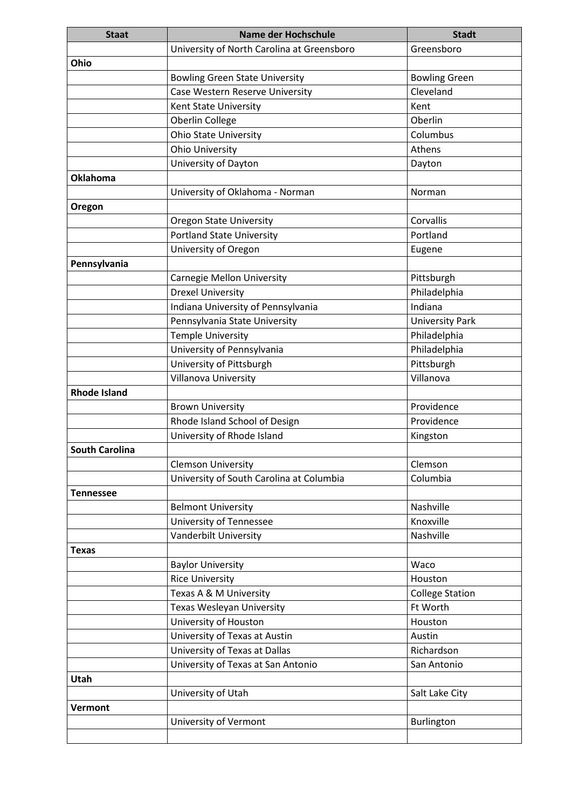| <b>Staat</b>          | Name der Hochschule                              | <b>Stadt</b>           |
|-----------------------|--------------------------------------------------|------------------------|
|                       | University of North Carolina at Greensboro       | Greensboro             |
| Ohio                  |                                                  |                        |
|                       | <b>Bowling Green State University</b>            | <b>Bowling Green</b>   |
|                       | Case Western Reserve University                  | Cleveland              |
|                       | Kent State University                            | Kent                   |
|                       | Oberlin College                                  | Oberlin                |
|                       | <b>Ohio State University</b>                     | Columbus               |
|                       | <b>Ohio University</b>                           | Athens                 |
|                       | University of Dayton                             | Dayton                 |
| <b>Oklahoma</b>       |                                                  |                        |
|                       | University of Oklahoma - Norman                  | Norman                 |
| Oregon                |                                                  |                        |
|                       | <b>Oregon State University</b>                   | Corvallis              |
|                       | <b>Portland State University</b>                 | Portland               |
|                       | University of Oregon                             | Eugene                 |
| Pennsylvania          |                                                  |                        |
|                       | <b>Carnegie Mellon University</b>                | Pittsburgh             |
|                       | <b>Drexel University</b>                         | Philadelphia           |
|                       | Indiana University of Pennsylvania               | Indiana                |
|                       | Pennsylvania State University                    | <b>University Park</b> |
|                       | <b>Temple University</b>                         | Philadelphia           |
|                       | University of Pennsylvania                       | Philadelphia           |
|                       | University of Pittsburgh                         | Pittsburgh             |
|                       | Villanova University                             | Villanova              |
| <b>Rhode Island</b>   |                                                  |                        |
|                       | <b>Brown University</b>                          | Providence             |
|                       | Rhode Island School of Design                    | Providence             |
|                       | University of Rhode Island                       | Kingston               |
| <b>South Carolina</b> |                                                  |                        |
|                       | <b>Clemson University</b>                        | Clemson                |
|                       | University of South Carolina at Columbia         | Columbia               |
| <b>Tennessee</b>      |                                                  |                        |
|                       | <b>Belmont University</b>                        | Nashville              |
|                       | University of Tennessee                          | Knoxville              |
|                       | Vanderbilt University                            | Nashville              |
| <b>Texas</b>          |                                                  |                        |
|                       | <b>Baylor University</b>                         | Waco<br>Houston        |
|                       | <b>Rice University</b><br>Texas A & M University | <b>College Station</b> |
|                       | Texas Wesleyan University                        | Ft Worth               |
|                       | University of Houston                            | Houston                |
|                       | University of Texas at Austin                    | Austin                 |
|                       | University of Texas at Dallas                    | Richardson             |
|                       | University of Texas at San Antonio               | San Antonio            |
| Utah                  |                                                  |                        |
|                       | University of Utah                               | Salt Lake City         |
| Vermont               |                                                  |                        |
|                       | University of Vermont                            | Burlington             |
|                       |                                                  |                        |
|                       |                                                  |                        |